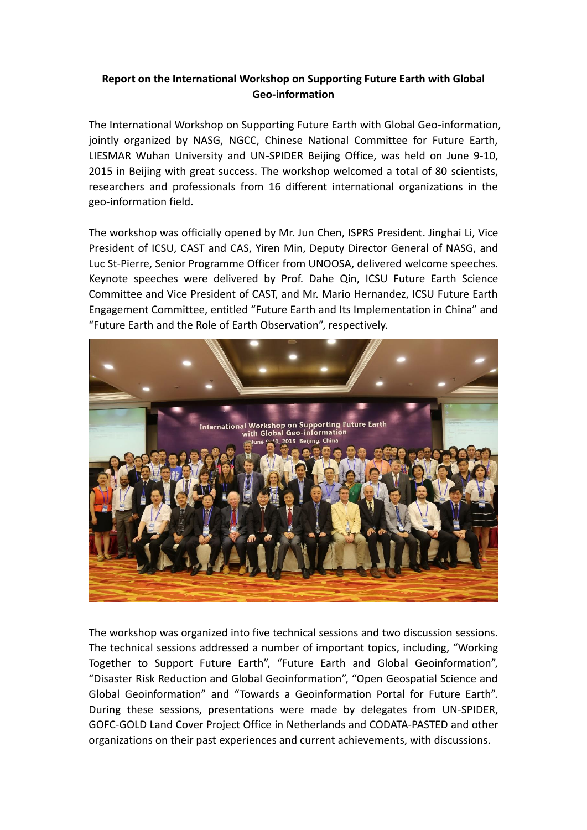## **Report on the International Workshop on Supporting Future Earth with Global Geo-information**

The International Workshop on Supporting Future Earth with Global Geo-information, jointly organized by NASG, NGCC, Chinese National Committee for Future Earth, LIESMAR Wuhan University and UN-SPIDER Beijing Office, was held on June 9-10, 2015 in Beijing with great success. The workshop welcomed a total of 80 scientists, researchers and professionals from 16 different international organizations in the geo-information field.

The workshop was officially opened by Mr. Jun Chen, ISPRS President. Jinghai Li, Vice President of ICSU, CAST and CAS, Yiren Min, Deputy Director General of NASG, and Luc St-Pierre, Senior Programme Officer from UNOOSA, delivered welcome speeches. Keynote speeches were delivered by Prof. Dahe Qin, ICSU Future Earth Science Committee and Vice President of CAST, and Mr. Mario Hernandez, ICSU Future Earth Engagement Committee, entitled "Future Earth and Its Implementation in China" and "Future Earth and the Role of Earth Observation", respectively.



The workshop was organized into five technical sessions and two discussion sessions. The technical sessions addressed a number of important topics, including, "Working Together to Support Future Earth", "Future Earth and Global Geoinformation", "Disaster Risk Reduction and Global Geoinformation", "Open Geospatial Science and Global Geoinformation" and "Towards a Geoinformation Portal for Future Earth". During these sessions, presentations were made by delegates from UN-SPIDER, GOFC-GOLD Land Cover Project Office in Netherlands and CODATA-PASTED and other organizations on their past experiences and current achievements, with discussions.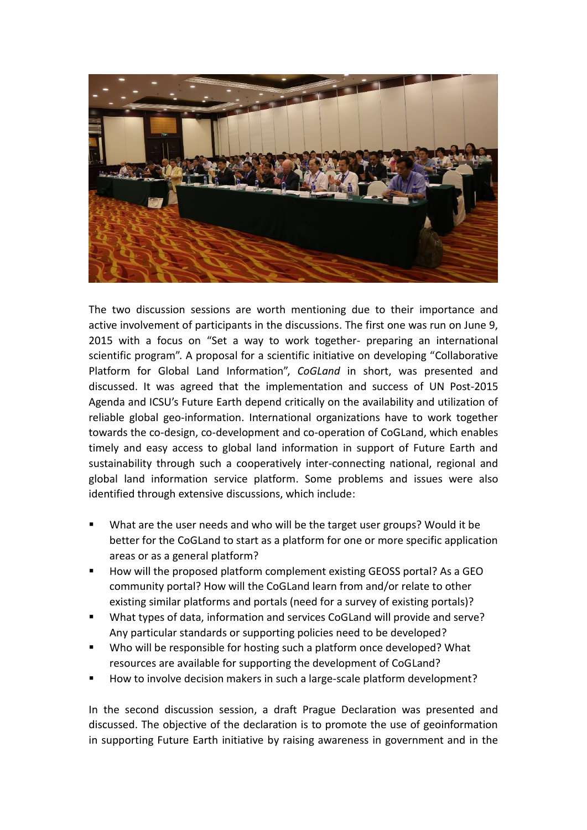

The two discussion sessions are worth mentioning due to their importance and active involvement of participants in the discussions. The first one was run on June 9, 2015 with a focus on "Set a way to work together- preparing an international scientific program". A proposal for a scientific initiative on developing "Collaborative Platform for Global Land Information", *CoGLand* in short, was presented and discussed. It was agreed that the implementation and success of UN Post-2015 Agenda and ICSU's Future Earth depend critically on the availability and utilization of reliable global geo-information. International organizations have to work together towards the co-design, co-development and co-operation of CoGLand, which enables timely and easy access to global land information in support of Future Earth and sustainability through such a cooperatively inter-connecting national, regional and global land information service platform. Some problems and issues were also identified through extensive discussions, which include:

- What are the user needs and who will be the target user groups? Would it be better for the CoGLand to start as a platform for one or more specific application areas or as a general platform?
- How will the proposed platform complement existing GEOSS portal? As a GEO community portal? How will the CoGLand learn from and/or relate to other existing similar platforms and portals (need for a survey of existing portals)?
- What types of data, information and services CoGLand will provide and serve? Any particular standards or supporting policies need to be developed?
- Who will be responsible for hosting such a platform once developed? What resources are available for supporting the development of CoGLand?
- How to involve decision makers in such a large-scale platform development?

In the second discussion session, a draft Prague Declaration was presented and discussed. The objective of the declaration is to promote the use of geoinformation in supporting Future Earth initiative by raising awareness in government and in the